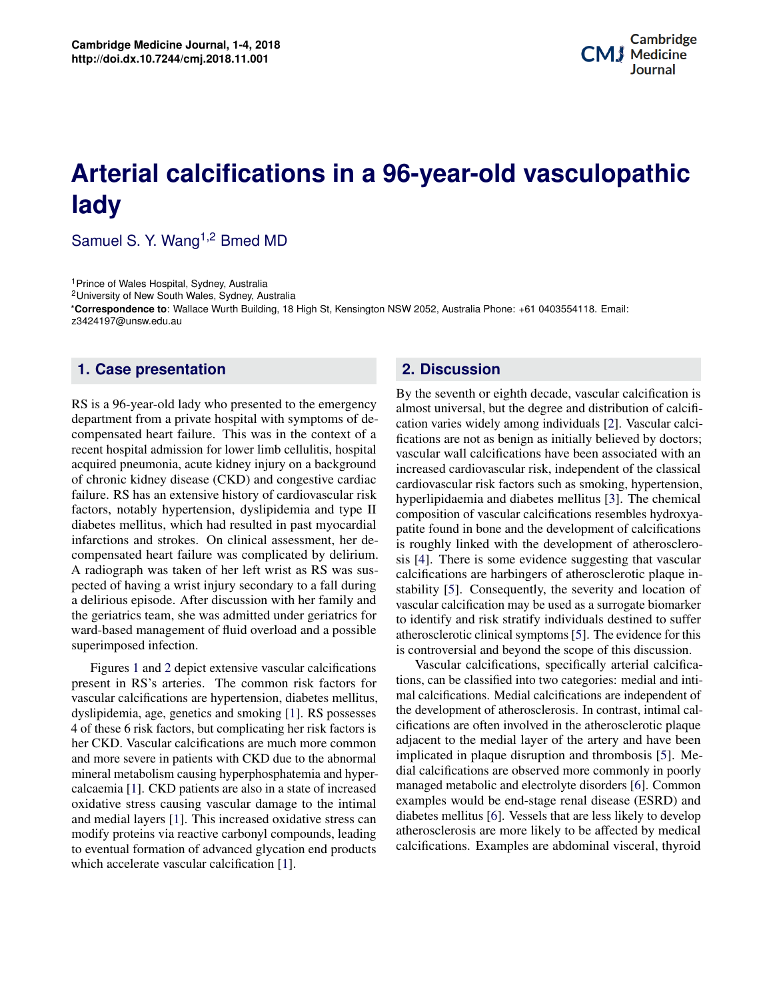## **Potential Applications of Three-dimensional Bioprinting in Regenerative Medicine Arterial calcifications in a 96-year-old vasculopathic lady**

Samuel S. Y. Wang<sup>1,2</sup> Bmed MD

<sup>1</sup> Prince of Wales Hospital, Sydney, Australia

<sup>2</sup>University of New South Wales, Sydney, Australia

\***Correspondence to**: Wallace Wurth Building, 18 High St, Kensington NSW 2052, Australia Phone: +61 0403554118. Email: z3424197@unsw.edu.au

## **1. Case presentation**

RS is a 96-year-old lady who presented to the emergency department from a private hospital with symptoms of decompensated heart failure. This was in the context of a recent hospital admission for lower limb cellulitis, hospital acquired pneumonia, acute kidney injury on a background of chronic kidney disease (CKD) and congestive cardiac failure. RS has an extensive history of cardiovascular risk factors, notably hypertension, dyslipidemia and type II diabetes mellitus, which had resulted in past myocardial infarctions and strokes. On clinical assessment, her decompensated heart failure was complicated by delirium. A radiograph was taken of her left wrist as RS was suspected of having a wrist injury secondary to a fall during a delirious episode. After discussion with her family and the geriatrics team, she was admitted under geriatrics for ward-based management of fluid overload and a possible superimposed infection.

**Contents** and more severe in patients with CKD due to the abnormal calcaemia [\[1\]](#page-3-0). CKD patients are also in a state of increased **2 Clinical need 2** and medial layers [\[1\]](#page-3-0). This increased oxidative stress can **3** modify proteins via reactive carbonyl compounds, leading to eventual formation of advanced glycation end products<br>which accelerate vecesslar calcification [1]  $\mathcal{A} = \mathcal{A} \cup \mathcal{A} \cup \mathcal{A} \cup \mathcal{A} \cup \mathcal{A} \cup \mathcal{A} \cup \mathcal{A} \cup \mathcal{A} \cup \mathcal{A} \cup \mathcal{A} \cup \mathcal{A} \cup \mathcal{A} \cup \mathcal{A} \cup \mathcal{A} \cup \mathcal{A} \cup \mathcal{A} \cup \mathcal{A} \cup \mathcal{A} \cup \mathcal{A} \cup \mathcal{A} \cup \mathcal{A} \cup \mathcal{A} \cup \mathcal{A} \cup \mathcal{A} \cup \mathcal{A} \cup \mathcal{A} \cup \mathcal{A$ Figures [1](#page-1-0) and [2](#page-2-0) depict extensive vascular calcifications present in RS's arteries. The common risk factors for vascular calcifications are hypertension, diabetes mellitus, dyslipidemia, age, genetics and smoking [\[1\]](#page-3-0). RS possesses 4 of these 6 risk factors, but complicating her risk factors is her CKD. Vascular calcifications are much more common mineral metabolism causing hyperphosphatemia and hyperoxidative stress causing vascular damage to the intimal which accelerate vascular calcification [\[1\]](#page-3-0).

## **2. Discussion**

distribution of calcifi-<br>als [2]. Vascular calcibut it handled in Regeneration in Regeneration and the Medicine Medicine Medicine Medicine Medicine Medicine Medicine Medicine Medicine Medicine Medicine Medicine Medicine Medicine Medicine Medicine Medicine Medicine Medic By the seventh or eighth decade, vascular calcification is almost universal, but the degree and distribution of calcification varies widely among individuals [2]. Vascular calcifications are not as benign as initially believed by doctors; vascular wall calcifications have been associated with an increased cardiovascular risk, independent of the classical cardiovascular risk factors such as smoking, hypertension, hyperlipidaemia and diabetes mellitus [\[3\]](#page-3-2). The chemical composition of vascular calcifications resembles hydroxyapatite found in bone and the development of calcifications is roughly linked with the development of atherosclerosis [\[4\]](#page-3-3). There is some evidence suggesting that vascular calcifications are harbingers of atherosclerotic plaque instability [\[5\]](#page-3-4). Consequently, the severity and location of vascular calcification may be used as a surrogate biomarker to identify and risk stratify individuals destined to suffer atherosclerotic clinical symptoms [\[5\]](#page-3-4). The evidence for this is controversial and beyond the scope of this discussion.

Vascular calcifications, specifically arterial calcifications, can be classified into two categories: medial and inti-It can be accomputed that the concept of a differential car-<br>cifications are often involved in the atherosclerotic plaque adjacent to the medial layer of the artery and have been<br>" formal implied the *in piaque* distaple of and diffeosities of  $\mathcal{L}_1$ . We hyper-<br>hyper-<br>dial calcifications are observed more commonly in poorly possed managed metabolic and electrolyte disorders [\[6\]](#page-3-5). Common<br>managed metabolic and electrolyte disorders [6]. Common diabetes mellitus [\[6\]](#page-3-5). Vessels that are less likely to develop ely to be affected by medical<br>and medical researchers and medical researchers and medical researchers alike have been alike have been alike investigating the exciting prospects three-dimensional printing offers to the *Culture of Organss* implicated in plaque disruption and thrombosis [5]. Me- $\mu$ <sup>examples would be end-stage renal disease (ESRD) and  $\mu$ </sup>  $F_{\text{adding}}$  atherosclerosis are more likely to be affected by medical and medical researchers are the medical researchers and the ex- $\frac{1}{2}$ Vascular calcifications, specifically arterial calcificamal calcifications. Medial calcifications are independent of the development of atherosclerosis. In contrast, intimal cal-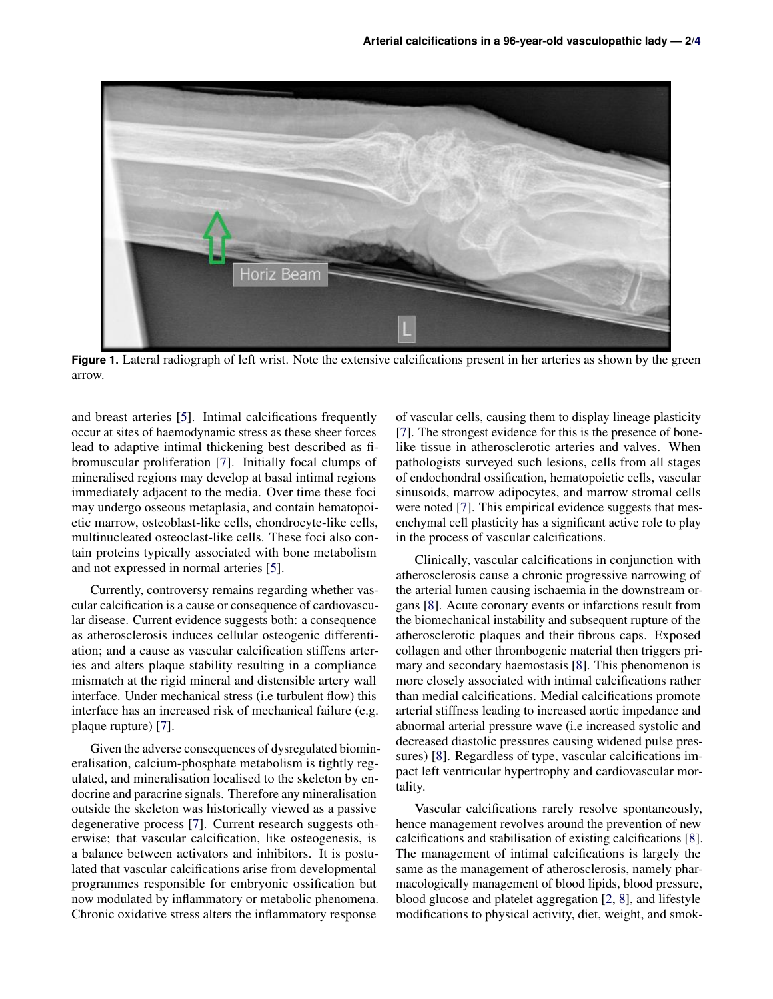<span id="page-1-0"></span>

**Figure 1**: Lateral radiograph of left wrist. Note the extensive calcifications present Figure 1. Lateral radiograph of left wrist. Note the extensive calcifications present in her arteries as shown by the green arrow.

and breast arteries [\[5\]](#page-3-4). Intimal calcifications frequently occur at sites of haemodynamic stress as these sheer forces lead to adaptive intimal thickening best described as fibromuscular proliferation [\[7\]](#page-3-7). Initially focal clumps of mineralised regions may develop at basal intimal regions immediately adjacent to the media. Over time these foci may undergo osseous metaplasia, and contain hematopoietic marrow, osteoblast-like cells, chondrocyte-like cells, multinucleated osteoclast-like cells. These foci also contain proteins typically associated with bone metabolism and not expressed in normal arteries [\[5\]](#page-3-4).

Currently, controversy remains regarding whether vascular calcification is a cause or consequence of cardiovascular disease. Current evidence suggests both: a consequence as atherosclerosis induces cellular osteogenic differentiation; and a cause as vascular calcification stiffens arteries and alters plaque stability resulting in a compliance mismatch at the rigid mineral and distensible artery wall interface. Under mechanical stress (i.e turbulent flow) this interface has an increased risk of mechanical failure (e.g. plaque rupture) [\[7\]](#page-3-7).

Given the adverse consequences of dysregulated biomineralisation, calcium-phosphate metabolism is tightly regulated, and mineralisation localised to the skeleton by endocrine and paracrine signals. Therefore any mineralisation outside the skeleton was historically viewed as a passive degenerative process [\[7\]](#page-3-7). Current research suggests otherwise; that vascular calcification, like osteogenesis, is a balance between activators and inhibitors. It is postulated that vascular calcifications arise from developmental programmes responsible for embryonic ossification but now modulated by inflammatory or metabolic phenomena. Chronic oxidative stress alters the inflammatory response

of vascular cells, causing them to display lineage plasticity [\[7\]](#page-3-7). The strongest evidence for this is the presence of bonelike tissue in atherosclerotic arteries and valves. When pathologists surveyed such lesions, cells from all stages of endochondral ossification, hematopoietic cells, vascular sinusoids, marrow adipocytes, and marrow stromal cells were noted [\[7\]](#page-3-7). This empirical evidence suggests that mesenchymal cell plasticity has a significant active role to play in the process of vascular calcifications.

Clinically, vascular calcifications in conjunction with atherosclerosis cause a chronic progressive narrowing of the arterial lumen causing ischaemia in the downstream organs [\[8\]](#page-3-8). Acute coronary events or infarctions result from the biomechanical instability and subsequent rupture of the atherosclerotic plaques and their fibrous caps. Exposed collagen and other thrombogenic material then triggers primary and secondary haemostasis [\[8\]](#page-3-8). This phenomenon is more closely associated with intimal calcifications rather than medial calcifications. Medial calcifications promote arterial stiffness leading to increased aortic impedance and abnormal arterial pressure wave (i.e increased systolic and decreased diastolic pressures causing widened pulse pressures) [\[8\]](#page-3-8). Regardless of type, vascular calcifications impact left ventricular hypertrophy and cardiovascular mortality.

Vascular calcifications rarely resolve spontaneously, hence management revolves around the prevention of new calcifications and stabilisation of existing calcifications [\[8\]](#page-3-8). The management of intimal calcifications is largely the same as the management of atherosclerosis, namely pharmacologically management of blood lipids, blood pressure, blood glucose and platelet aggregation [\[2,](#page-3-1) [8\]](#page-3-8), and lifestyle modifications to physical activity, diet, weight, and smok-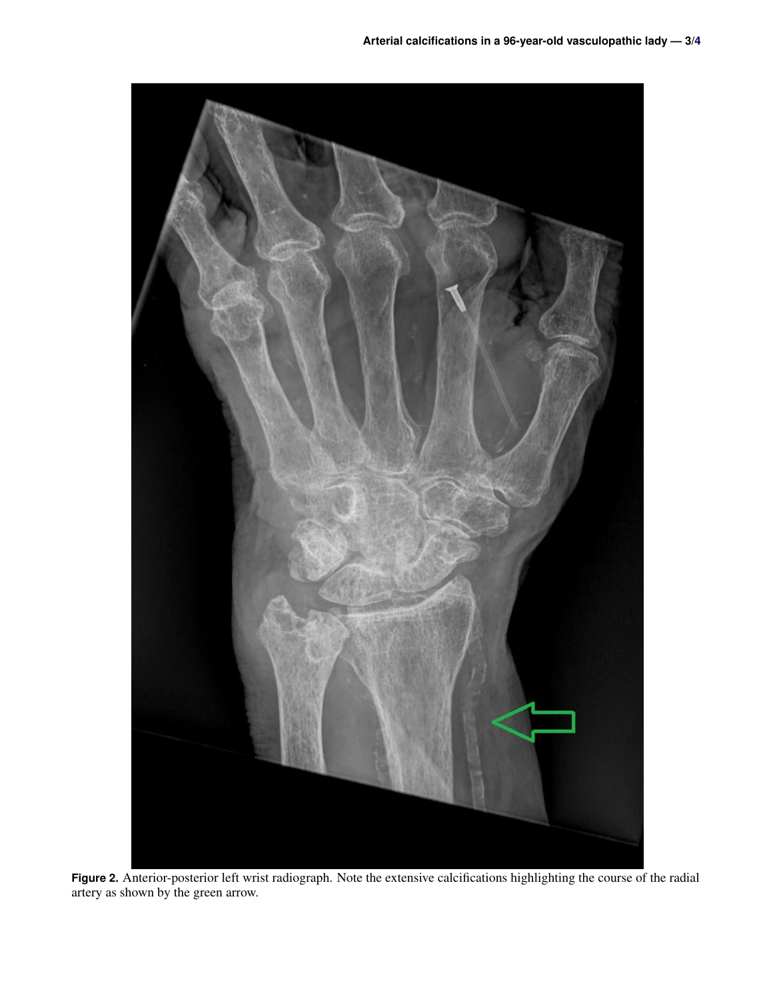<span id="page-2-0"></span>

**Figure 2.** Anterior-posterior left wrist radiograph. Note the extensive calcifications highlighting the course of the radial artery as shown by the green arrow.